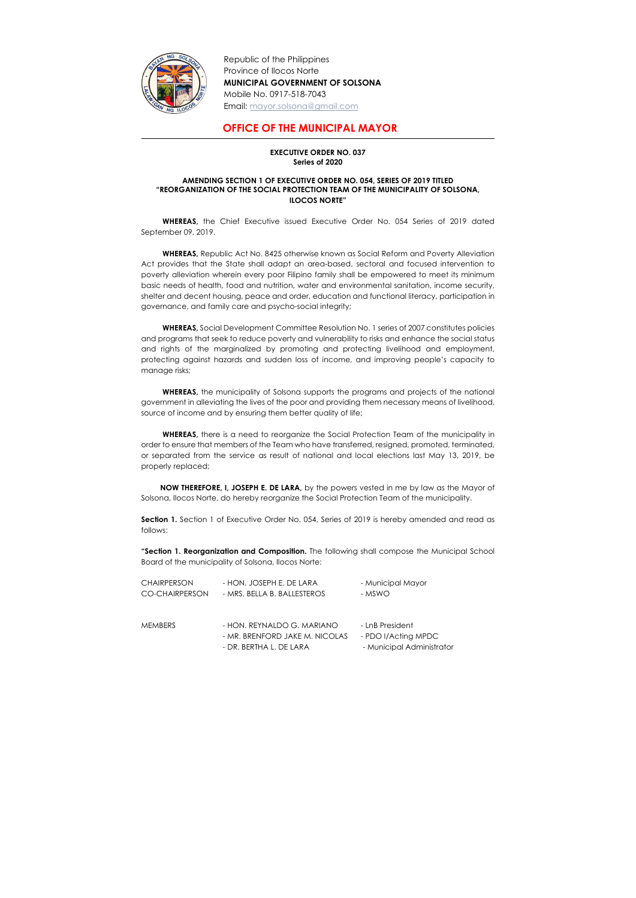

Republic of the Philippines Province of Ilocos Norte MUNICIPAL GOVERNMENT OF SOLSONA Mobile No. 0917-518-7043 Email: mayor.solsona@gmail.com

## OFFICE OF THE MUNICIPAL MAYOR

## EXECUTIVE ORDER NO. 037 Series of 2020

## AMENDING SECTION 1 OF EXECUTIVE ORDER NO. 054, SERIES OF 2019 TITLED "REORGANIZATION OF THE SOCIAL PROTECTION TEAM OF THE MUNICIPALITY OF SOLSONA, ILOCOS NORTE"

WHEREAS, the Chief Executive issued Executive Order No. 054 Series of 2019 dated September 09, 2019.

WHEREAS, Republic Act No. 8425 otherwise known as Social Reform and Poverty Alleviation Act provides that the State shall adapt an area-based, sectoral and focused intervention to poverty alleviation wherein every poor Filipino family shall be empowered to meet its minimum basic needs of health, food and nutrition, water and environmental sanitation, income security, shelter and decent housing, peace and order, education and functional literacy, participation in governance, and family care and psycho-social integrity;

WHEREAS, the municipality of Solsona supports the programs and projects of the national government in alleviating the lives of the poor and providing them necessary means of livelihood, source of income and by ensuring them better quality of life;

WHEREAS, there is a need to reorganize the Social Protection Team of the municipality in order to ensure that members of the Team who have transferred, resigned, promoted, terminated, or separated from the service as result of national and local elections last May 13, 2019, be properly replaced;

Section 1. Section 1 of Executive Order No. 054, Series of 2019 is hereby amended and read as follows:

**"Section 1. Reorganization and Composition.** The following shall compose the Municipal School Board of the municipality of Solsona, Ilocos Norte:

WHEREAS, Social Development Committee Resolution No. 1 series of 2007 constitutes policies and programs that seek to reduce poverty and vulnerability to risks and enhance the social status and rights of the marginalized by promoting and protecting livelihood and employment, protecting against hazards and sudden loss of income, and improving people's capacity to manage risks;

 NOW THEREFORE, I, JOSEPH E. DE LARA, by the powers vested in me by law as the Mayor of Solsona, Ilocos Norte, do hereby reorganize the Social Protection Team of the municipality.

| <b>CHAIRPERSON</b> | - HON. JOSEPH E. DE LARA    | - Municipal Mayor |
|--------------------|-----------------------------|-------------------|
| CO-CHAIRPERSON     | - MRS. BELLA B. BALLESTEROS | - MSWO            |

| <b>MEMBERS</b> | - HON. REYNALDO G. MARIANO     | - LnB President           |
|----------------|--------------------------------|---------------------------|
|                | - MR. BRENFORD JAKE M. NICOLAS | - PDO I/Acting MPDC       |
|                | - DR. BERTHA L. DE LARA        | - Municipal Administrator |